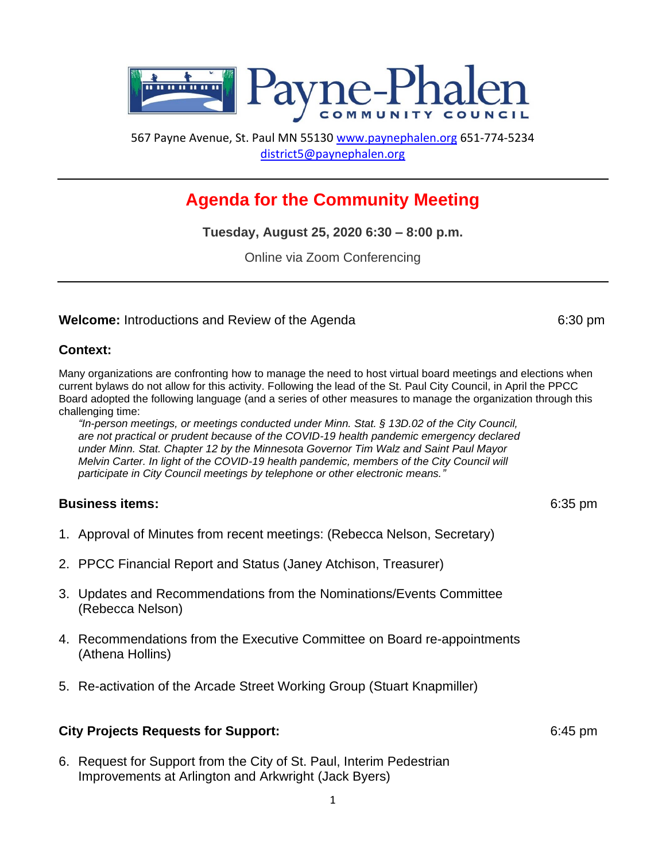

567 Payne Avenue, St. Paul MN 55130 [www.paynephalen.org](http://www.paynephalen.org/) 651-774-5234 [district5@paynephalen.org](mailto:district5@paynephalen.org)

# **Agenda for the Community Meeting**

**Tuesday, August 25, 2020 6:30 – 8:00 p.m.**

Online via Zoom Conferencing

# **Welcome:** Introductions and Review of the Agenda 6:30 pm

#### **Context:**

Many organizations are confronting how to manage the need to host virtual board meetings and elections when current bylaws do not allow for this activity. Following the lead of the St. Paul City Council, in April the PPCC Board adopted the following language (and a series of other measures to manage the organization through this challenging time:

*"In-person meetings, or meetings conducted under Minn. Stat. § 13D.02 of the City Council, are not practical or prudent because of the COVID-19 health pandemic emergency declared under Minn. Stat. Chapter 12 by the Minnesota Governor Tim Walz and Saint Paul Mayor Melvin Carter. In light of the COVID-19 health pandemic, members of the City Council will participate in City Council meetings by telephone or other electronic means."*

# **Business items:** 6:35 pm

- 1. Approval of Minutes from recent meetings: (Rebecca Nelson, Secretary)
- 2. PPCC Financial Report and Status (Janey Atchison, Treasurer)
- 3. Updates and Recommendations from the Nominations/Events Committee (Rebecca Nelson)
- 4. Recommendations from the Executive Committee on Board re-appointments (Athena Hollins)
- 5. Re-activation of the Arcade Street Working Group (Stuart Knapmiller)

# **City Projects Requests for Support:** 6:45 pm

6. Request for Support from the City of St. Paul, Interim Pedestrian Improvements at Arlington and Arkwright (Jack Byers)